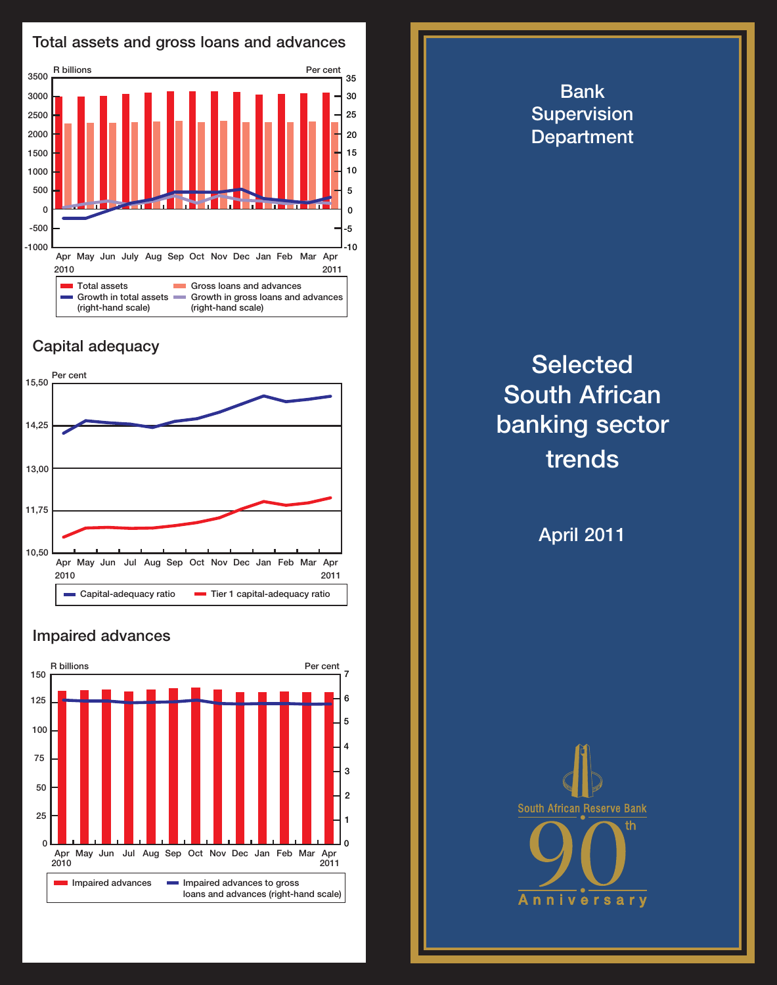

## Capital adequacy



## Impaired advances



**Selected** South African banking sector trends

Bank **Supervision Department** 

April 2011